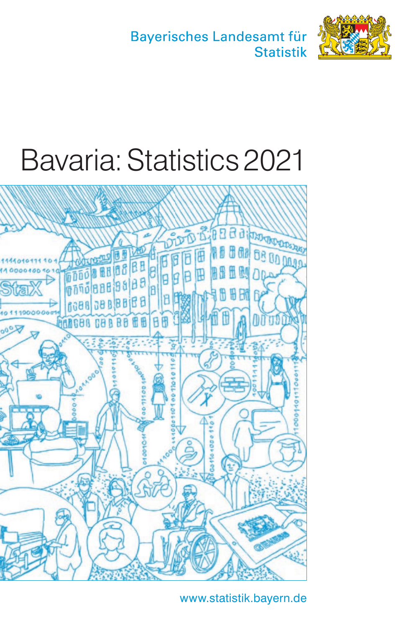Bayerisches Landesamt für **Statistik** 



# Bavaria: Statistics 2021



www.statistik.bayern.de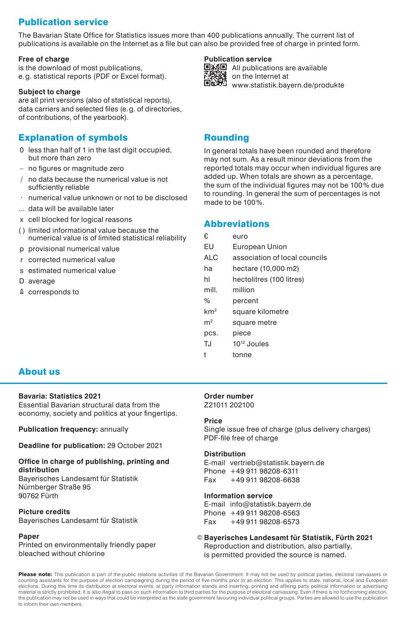# Publication service

The Bavarian State Office for Statistics issues more than 400 publications annually. The current list of publications is available on the Internet as a file but can also be provided free of charge in printed form.

#### **Free of charge**

is the download of most publications, e.g. statistical reports (PDF or Excel format).

#### **Subject to charge**

are all print versions (also of statistical reports), data carriers and selected files (e.g. of directories, of contributions, of the yearbook).

#### Explanation of symbols

- 0 less than half of 1 in the last digit occupied, but more than zero
- – no figures or magnitude zero
- / no data because the numerical value is not sufficiently reliable
- · numerical value unknown or not to be disclosed
- ... data will be available later
- x cell blocked for logical reasons
- ( ) limited informational value because the numerical value is of limited statistical reliability
- p provisional numerical value
- r corrected numerical value
- s estimated numerical value
- D average
- ≙ corresponds to

#### **Publication service**



国務国 All publications are available **on the Internet at** www.statistik.bayern.de/produkte

#### Rounding

In general totals have been rounded and therefore may not sum. As a result minor deviations from the reported totals may occur when individual figures are added up. When totals are shown as a percentage, the sum of the individual figures may not be 100% due to rounding. In general the sum of percentages is not made to be 100%.

#### Abbreviations

| €.              | euro                          |
|-----------------|-------------------------------|
| EU              | European Union                |
| <b>ALC</b>      | association of local councils |
| ha              | hectare (10,000 m2)           |
| hl              | hectolitres (100 litres)      |
| mill            | million                       |
| %               | percent                       |
| km <sup>2</sup> | square kilometre              |
| m <sup>2</sup>  | square metre                  |
| pcs.            | piece                         |
| TJ              | 10 <sup>12</sup> Joules       |
| t               | tonne                         |

#### About us

#### **Bavaria: Statistics 2021**

Essential Bavarian structural data from the economy, society and politics at your fingertips.

**Publication frequency:** annually

**Deadline for publication:** 29 October 2021

#### **Office in charge of publishing, printing and distribution**

Bayerisches Landesamt für Statistik Nürnberger Straße 95 90762 Fürth

#### **Picture credits** Bayerisches Landesamt für Statistik

#### **Paper**

Printed on environmentally friendly paper bleached without chlorine

#### **Order number**

Z21011 202100

#### **Price**

Single issue free of charge (plus delivery charges) PDF-file free of charge

#### **Distribution**

E-mail vertrieb@statistik.bayern.de Phone +49 911 98208-6311 Fax +49 911 98208-6638

#### **Information service**

E-mail info@statistik.bayern.de Phone +49 911 98208-6563 Fax +49 911 98208-6573

#### © **Bayerisches Landesamt für Statistik, Fürth 2021** Reproduction and distribution, also partially, is permitted provided the source is named.

Please note: This publication is part of the public relations activities of the Bavarian Government. It may not be used by political parties, electoral canvassers or counting assistants for the purpose of election campaigning during the period of five months prior to an election. This applies to state, national, local and European elections. During this time its distribution at electoral events, at party information stands and inserting, printing and affixing party political information or advertising material is strictly prohibited. It is also illegal to pass on such information to third parties for the purpose of electoral canvassing. Even if there is no forthcoming election the publication may not be used in ways that could be interpreted as the state government favouring individual political groups. Parties are allowed to use the publication to inform their own members.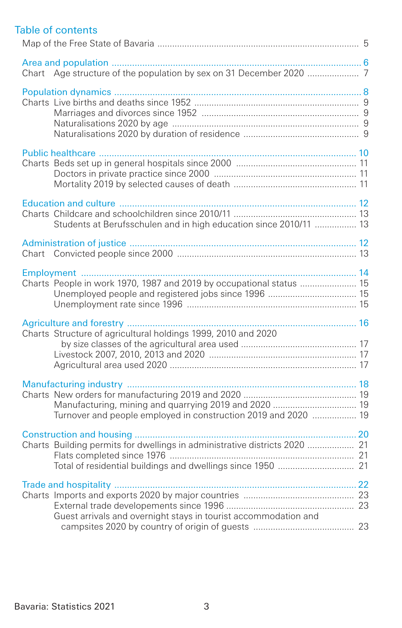# Table of contents

| Students at Berufsschulen and in high education since 2010/11  13                                                       |  |
|-------------------------------------------------------------------------------------------------------------------------|--|
|                                                                                                                         |  |
| Charts People in work 1970, 1987 and 2019 by occupational status  15                                                    |  |
| Charts Structure of agricultural holdings 1999, 2010 and 2020                                                           |  |
| Manufacturing, mining and quarrying 2019 and 2020  19<br>Turnover and people employed in construction 2019 and 2020  19 |  |
| Charts Building permits for dwellings in administrative districts 2020  21                                              |  |
| Guest arrivals and overnight stays in tourist accommodation and                                                         |  |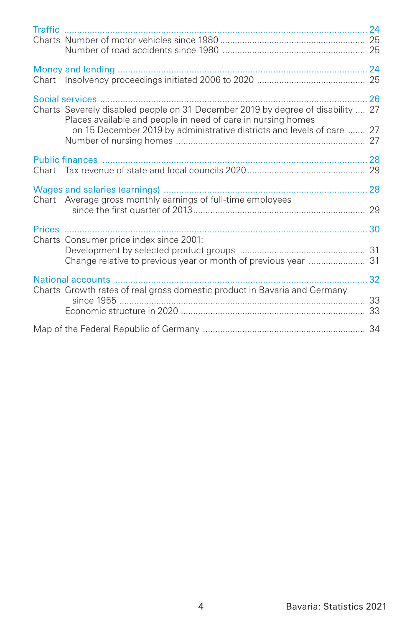| <b>Traffic</b>                                                                                                                                                                                                            |    |
|---------------------------------------------------------------------------------------------------------------------------------------------------------------------------------------------------------------------------|----|
|                                                                                                                                                                                                                           |    |
|                                                                                                                                                                                                                           |    |
| Charts Severely disabled people on 31 December 2019 by degree of disability  27<br>Places available and people in need of care in nursing homes<br>on 15 December 2019 by administrative districts and levels of care  27 | 26 |
| Public finances                                                                                                                                                                                                           |    |
| Chart Average gross monthly earnings of full-time employees                                                                                                                                                               |    |
|                                                                                                                                                                                                                           |    |
| Charts Consumer price index since 2001:                                                                                                                                                                                   |    |
|                                                                                                                                                                                                                           |    |
| Charts Growth rates of real gross domestic product in Bavaria and Germany                                                                                                                                                 |    |
|                                                                                                                                                                                                                           |    |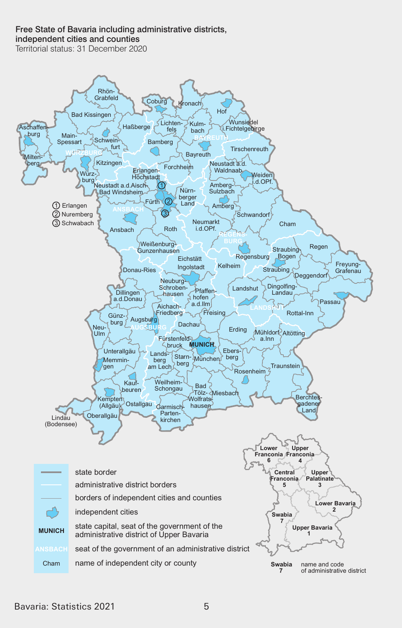# Free State of Bavaria including administrative districts.

independent cities and counties

Territorial status: 31 December 2020

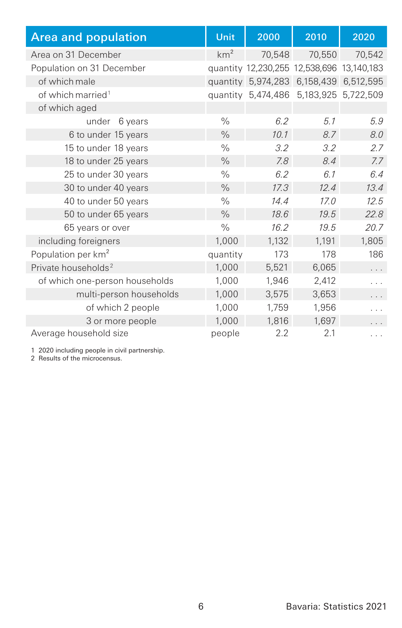| <b>Area and population</b>      | <b>Unit</b>     | 2000                                      | 2010      | 2020                |
|---------------------------------|-----------------|-------------------------------------------|-----------|---------------------|
| Area on 31 December             | km <sup>2</sup> | 70,548                                    | 70,550    | 70,542              |
| Population on 31 December       |                 | quantity 12,230,255 12,538,696 13,140,183 |           |                     |
| of which male                   |                 | quantity 5,974,283                        | 6,158,439 | 6,512,595           |
| of which married <sup>1</sup>   |                 | quantity 5,474,486                        |           | 5,183,925 5,722,509 |
| of which aged                   |                 |                                           |           |                     |
| 6 years<br>under                | $\frac{0}{0}$   | 6.2                                       | 5.1       | 5.9                 |
| 6 to under 15 years             | $\frac{0}{0}$   | 10.1                                      | 8.7       | 8.0                 |
| 15 to under 18 years            | $\frac{0}{0}$   | 3.2                                       | 3.2       | 2.7                 |
| 18 to under 25 years            | $\frac{0}{0}$   | 7.8                                       | 8.4       | 7.7                 |
| 25 to under 30 years            | $\frac{0}{0}$   | 6.2                                       | 6.1       | 6.4                 |
| 30 to under 40 years            | $\frac{0}{0}$   | 17.3                                      | 12.4      | 13.4                |
| 40 to under 50 years            | $\%$            | 14.4                                      | 17.0      | 12.5                |
| 50 to under 65 years            | $\frac{0}{0}$   | 18.6                                      | 19.5      | 22.8                |
| 65 years or over                | $\frac{0}{0}$   | 16.2                                      | 19.5      | 20.7                |
| including foreigners            | 1,000           | 1,132                                     | 1,191     | 1,805               |
| Population per km <sup>2</sup>  | quantity        | 173                                       | 178       | 186                 |
| Private households <sup>2</sup> | 1,000           | 5,521                                     | 6,065     | .                   |
| of which one-person households  | 1,000           | 1,946                                     | 2,412     |                     |
| multi-person households         | 1,000           | 3,575                                     | 3,653     | .                   |
| of which 2 people               | 1,000           | 1,759                                     | 1,956     |                     |
| 3 or more people                | 1,000           | 1,816                                     | 1,697     |                     |
| Average household size          | people          | 2.2                                       | 2.1       | .                   |

1 2020 including people in civil partnership. 2 Results of the microcensus.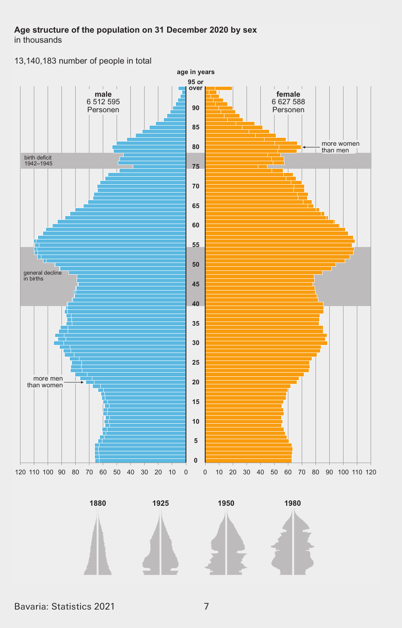# Age structure of the population on 31 December 2020 by sex

in thousands

13,140,183 number of people in total



1880



1925



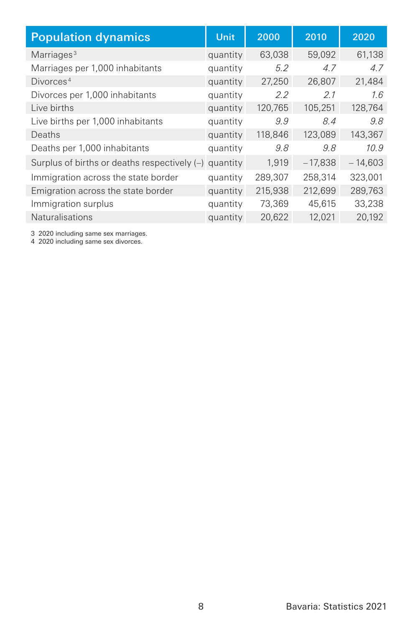| <b>Population dynamics</b>                              | Unit     | 2000    | 2010      | 2020      |
|---------------------------------------------------------|----------|---------|-----------|-----------|
| Marriages <sup>3</sup>                                  | quantity | 63,038  | 59.092    | 61.138    |
| Marriages per 1,000 inhabitants                         | quantity | 5.2     | 4.7       | 4.7       |
| Divorces <sup>4</sup>                                   | quantity | 27,250  | 26,807    | 21,484    |
| Divorces per 1,000 inhabitants                          | quantity | 2.2     | 2.1       | 1.6       |
| Live births                                             | quantity | 120,765 | 105.251   | 128.764   |
| Live births per 1,000 inhabitants                       | quantity | 9.9     | 8.4       | 9.8       |
| Deaths                                                  | quantity | 118,846 | 123,089   | 143,367   |
| Deaths per 1,000 inhabitants                            | quantity | 9.8     | 9.8       | 10.9      |
| Surplus of births or deaths respectively $(-)$ quantity |          | 1,919   | $-17,838$ | $-14,603$ |
| Immigration across the state border                     | quantity | 289,307 | 258,314   | 323.001   |
| Emigration across the state border                      | quantity | 215,938 | 212,699   | 289,763   |
| Immigration surplus                                     | quantity | 73.369  | 45.615    | 33,238    |
| Naturalisations                                         | quantity | 20.622  | 12.021    | 20.192    |

3 2020 including same sex marriages. 4 2020 including same sex divorces.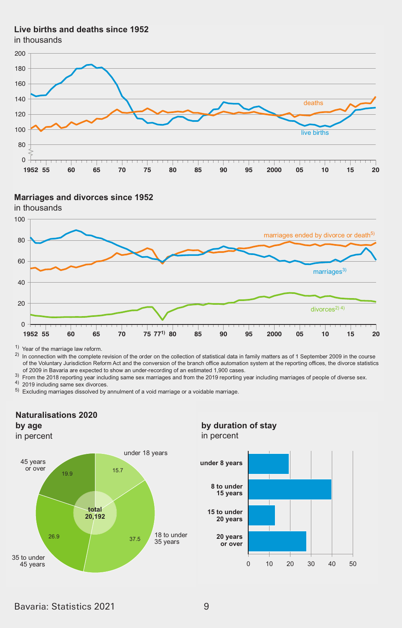#### **/iYe Eirths and deaths since 12**

in thousands





#### **Marriages and divorces since 1952**

 $1)$  Year of the marriage law reform.

 $^{\prime\prime}$  rear or the marnage law reform.<br><sup>2)</sup> In connection with the complete revision of the order on the collection of statistical data in family matters as of 1 September 2009 in the course of the Voluntary Jurisdiction Reform Act and the conversion of the branch office automation system at the reporting offices, the divorce statistics of 2009 in Bavaria are expected to show an under-recording of an estimated 1,900 cases.

of 2009 in Bavaria are expected to show an under-recording of an estimated 1,900 cases.<br><sup>3)</sup> Prom the 2018 reporting year including same sex marriages and from the 2019 reporting year including marriages of people of diver

 $5)$  Excluding marriages dissolved by annulment of a void marriage or a voidable marriage.

#### **Naturalisations 2020**

#### **Expanding nach \*escondist nach \*escondist nach \*eschlieung nach \*eschließe \*eschließe \*eschließe \*eschließe \*eschließe \*eschließe \*eschließe \*eschließe \*eschließe \*eschließe \*eschließe \*eschließe \*eschließe \*eschließe \*es**

in percent



#### **by duration of stay** in percent

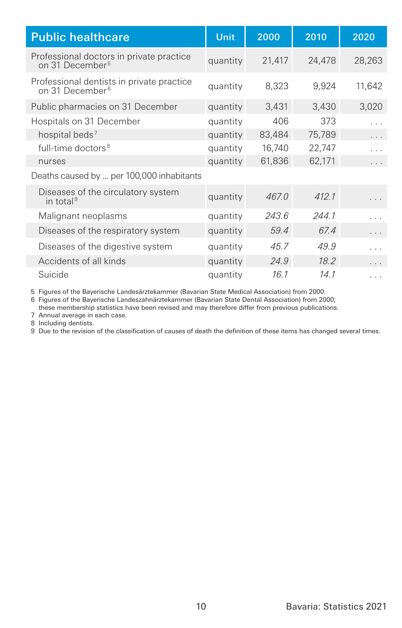| <b>Public healthcare</b>                                                 | Unit     | 2000   | 2010   | 2020   |
|--------------------------------------------------------------------------|----------|--------|--------|--------|
| Professional doctors in private practice<br>on 31 December <sup>5</sup>  | quantity | 21,417 | 24,478 | 28,263 |
| Professional dentists in private practice<br>on 31 December <sup>6</sup> | quantity | 8,323  | 9,924  | 11,642 |
| Public pharmacies on 31 December                                         | quantity | 3,431  | 3,430  | 3,020  |
| Hospitals on 31 December                                                 | quantity | 406    | 373    | .      |
| hospital beds <sup>7</sup>                                               | quantity | 83,484 | 75,789 | .      |
| full-time doctors <sup>8</sup>                                           | quantity | 16,740 | 22,747 | .      |
| nurses                                                                   | quantity | 61,836 | 62,171 | .      |
| Deaths caused by  per 100,000 inhabitants                                |          |        |        |        |
| Diseases of the circulatory system<br>in total <sup>9</sup>              | quantity | 467.0  | 412.1  |        |
| Malignant neoplasms                                                      | quantity | 243.6  | 244.1  | .      |
| Diseases of the respiratory system                                       | quantity | 59.4   | 67.4   | .      |
| Diseases of the digestive system                                         | quantity | 45.7   | 49.9   | .      |
| Accidents of all kinds                                                   | quantity | 24.9   | 18.2   | .      |
| Suicide                                                                  | quantity | 16.1   | 14.1   | .      |

5 Figures of the Bayerische Landesärztekammer (Bavarian State Medical Association) from 2000.

6 Figures of the Bayerische Landeszahnärztekammer (Bavarian State Dental Association) from 2000;

these membership statistics have been revised and may therefore dier from previous publications.

7 Annual average in each case.

8 Including dentists.

9 Due to the revision of the classification of causes of death the definition of these items has changed several times.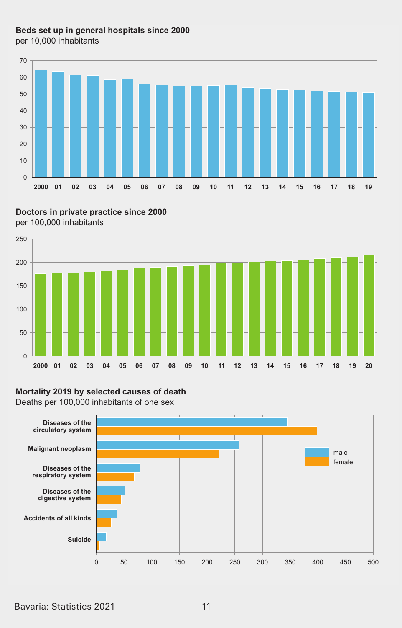# Beds set up in general hospitals since 2000

per 10,000 inhabitants



Doctors in private practice since 2000





#### Mortality 2019 by selected causes of death

Deaths per 100,000 inhabitants of one sex

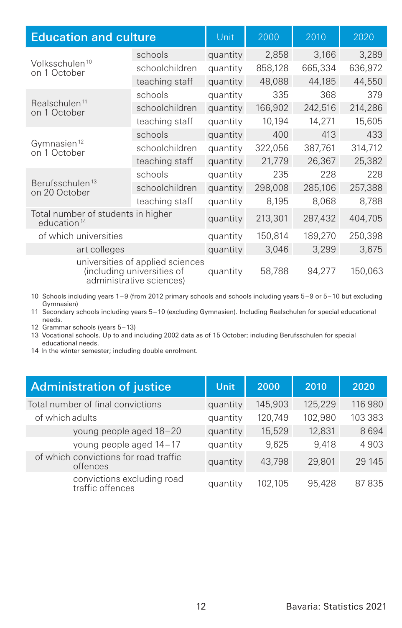| <b>Education and culture</b>                                  |                                                                                            | Unit     | 2000    | 2010    | 2020    |
|---------------------------------------------------------------|--------------------------------------------------------------------------------------------|----------|---------|---------|---------|
|                                                               | schools                                                                                    | quantity | 2,858   | 3,166   | 3,289   |
| Volksschulen <sup>10</sup><br>on 1 October                    | schoolchildren                                                                             | quantity | 858,128 | 665,334 | 636,972 |
|                                                               | teaching staff                                                                             | quantity | 48,088  | 44,185  | 44,550  |
|                                                               | schools                                                                                    | quantity | 335     | 368     | 379     |
| Realschulen <sup>11</sup><br>on 1 October                     | schoolchildren                                                                             | quantity | 166,902 | 242,516 | 214,286 |
|                                                               | teaching staff                                                                             | quantity | 10,194  | 14,271  | 15,605  |
|                                                               | schools                                                                                    | quantity | 400     | 413     | 433     |
| Gymnasien <sup>12</sup><br>on 1 October                       | schoolchildren                                                                             | quantity | 322,056 | 387,761 | 314,712 |
|                                                               | teaching staff                                                                             | quantity | 21,779  | 26,367  | 25,382  |
|                                                               | schools                                                                                    | quantity | 235     | 228     | 228     |
| Berufsschulen <sup>13</sup><br>on 20 October                  | schoolchildren                                                                             | quantity | 298,008 | 285,106 | 257,388 |
|                                                               | teaching staff                                                                             | quantity | 8.195   | 8,068   | 8,788   |
| Total number of students in higher<br>education <sup>14</sup> |                                                                                            | quantity | 213,301 | 287,432 | 404,705 |
| of which universities                                         |                                                                                            | quantity | 150,814 | 189,270 | 250,398 |
| art colleges                                                  |                                                                                            | quantity | 3,046   | 3,299   | 3,675   |
|                                                               | universities of applied sciences<br>(including universities of<br>administrative sciences) | quantity | 58,788  | 94,277  | 150,063 |

10 Schools including years 1–9 (from 2012 primary schools and schools including years 5–9 or 5–10 but excluding Gymnasien)

11 Secondary schools including years 5–10 (excluding Gymnasien). Including Realschulen for special educational needs.

12 Grammar schools (years 5–13)

13 Vocational schools. Up to and including 2002 data as of 15 October; including Berufsschulen for special educational needs.

14 In the winter semester; including double enrolment.

| <b>Administration of justice</b>                  | Unit     | 2000    | 2010    | 2020    |
|---------------------------------------------------|----------|---------|---------|---------|
| Total number of final convictions                 | quantity | 145,903 | 125,229 | 116 980 |
| of which adults                                   | quantity | 120.749 | 102,980 | 103 383 |
| young people aged 18-20                           | quantity | 15,529  | 12,831  | 8694    |
| young people aged 14-17                           | quantity | 9.625   | 9.418   | 4903    |
| of which convictions for road traffic<br>offences | quantity | 43.798  | 29,801  | 29 145  |
| convictions excluding road<br>traffic offences    | quantity | 102.105 | 95.428  | 87835   |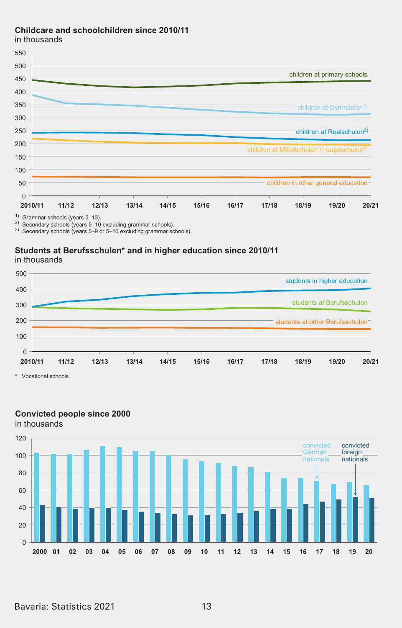#### **&hildcare and schoolchildren since 201011** 500

in thousands



<sup>2)</sup> Secondary schools (years 5–10 excluding grammar schools).

3) Secondary schools (years 5=9 or 5=10 excluding grammar schools).

#### **Students at Berufsschulen\* and in higher education since 2010/11**





\* Vocational schools.



#### **Convicted people since 2000**

in thousands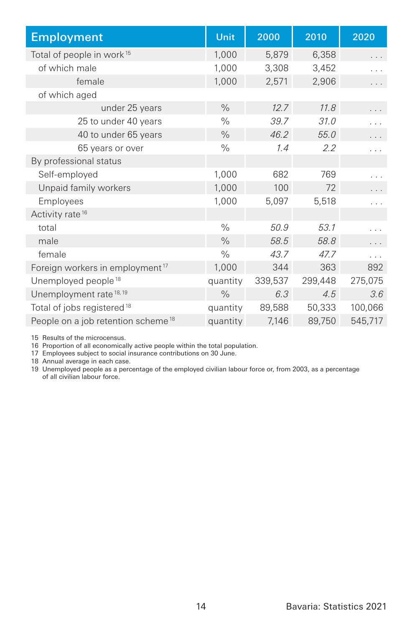| <b>Employment</b>                              | Unit          | 2000    | 2010    | 2020    |
|------------------------------------------------|---------------|---------|---------|---------|
| Total of people in work <sup>15</sup>          | 1,000         | 5,879   | 6,358   | .       |
| of which male                                  | 1,000         | 3,308   | 3,452   | .       |
| female                                         | 1,000         | 2,571   | 2,906   | .       |
| of which aged                                  |               |         |         |         |
| under 25 years                                 | $\frac{0}{0}$ | 12.7    | 11.8    |         |
| 25 to under 40 years                           | $\frac{0}{0}$ | 39.7    | 31.0    | .       |
| 40 to under 65 years                           | $\frac{0}{0}$ | 46.2    | 55.0    |         |
| 65 years or over                               | $\%$          | 1.4     | 2.2     |         |
| By professional status                         |               |         |         |         |
| Self-employed                                  | 1,000         | 682     | 769     | .       |
| Unpaid family workers                          | 1,000         | 100     | 72      | .       |
| Employees                                      | 1,000         | 5,097   | 5,518   | .       |
| Activity rate <sup>16</sup>                    |               |         |         |         |
| total                                          | $\frac{0}{0}$ | 50.9    | 53.1    |         |
| male                                           | $\frac{0}{0}$ | 58.5    | 58.8    |         |
| female                                         | $\frac{0}{0}$ | 43.7    | 47.7    | .       |
| Foreign workers in employment <sup>17</sup>    | 1,000         | 344     | 363     | 892     |
| Unemployed people <sup>18</sup>                | quantity      | 339,537 | 299,448 | 275,075 |
| Unemployment rate <sup>18,19</sup>             | $\frac{0}{0}$ | 6.3     | 4.5     | 3.6     |
| Total of jobs registered <sup>18</sup>         | quantity      | 89,588  | 50,333  | 100,066 |
| People on a job retention scheme <sup>18</sup> | quantity      | 7,146   | 89,750  | 545,717 |

15 Results of the microcensus.

16 Proportion of all economically active people within the total population.

17 Employees subject to social insurance contributions on 30 June.

18 Annual average in each case.

19 Unemployed people as a percentage of the employed civilian labour force or, from 2003, as a percentage of all civilian labour force.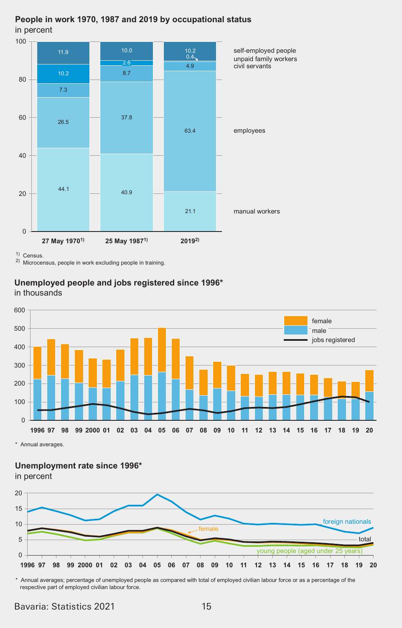#### People in work 1970, 1987 and 2019 by occupational status **In percent** and 201 Extendion and 201 Extendion and 201 Extendion and 201 Extendion and 201 Extendion and 201

0 20 40 60 80  $100$   $\overline{ }$  $44.1$   $40.9$  $26.5$  37.8 7.3 10.2  $8.7$ 21.1 63.4 4.9  $10.2$ <br> $0.4$ .<br>ጋ.ፍ  $11.9$  10.0 **27 May 1970<sup>1)</sup> 25 May 1987<sup>1)</sup>** self-employed people unpaid family workers civil servants employees manual workers 26.5 3.8 10.2 8.  $\begin{array}{|c|c|c|}\n\hline\n\text{2.6} \\
\hline\n\text{10.2} & \text{8.7}\n\end{array}$ 26.5 3.8 10.2 8.  $2019^{2}$ 10.2  $\qquad \qquad 8.7$ **3eoSle in Zorn 10 in Zorn 10 in Zorn 10 in Zorn 10 in Zorn 10 in Zorn 10 in Zorn 10 in Zorn 10 in Zorn 10 in Z** in percent

 $\frac{1}{2}$  Census.

2) Microcensus, people in work excluding people in training.

# Unemployed people and jobs registered since 1996\*

in thousands **Unexuality Unexuality** *Unexuality* **<b>***MoEs registered since 1999* 



**Example 3** averages. **1 8 2000 01 02 03 0 0 0 0 08 0 10 11 12 13 1 1 1 1 18 1 20**

Unemployment rate since 1996<sup>\*</sup>

in percent



\* Annual averages; percentage of unemployed people as compared with total of employed civilian labour force or as a percentage of the respective part of employed civilian labour force.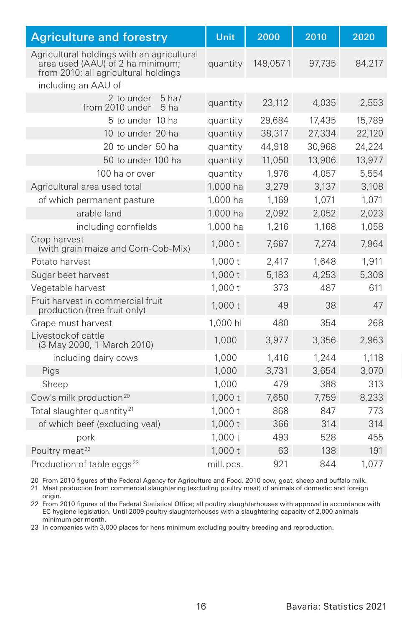| <b>Agriculture and forestry</b>                                                                                        | Unit      | 2000     | 2010   | 2020   |
|------------------------------------------------------------------------------------------------------------------------|-----------|----------|--------|--------|
| Agricultural holdings with an agricultural<br>area used (AAU) of 2 ha minimum:<br>from 2010: all agricultural holdings | quantity  | 149.0571 | 97.735 | 84,217 |
| including an AAU of                                                                                                    |           |          |        |        |
| 2 to under<br>$5$ ha/<br>from 2010 under<br>5 <sub>ha</sub>                                                            | quantity  | 23,112   | 4,035  | 2,553  |
| 5 to under 10 ha                                                                                                       | quantity  | 29,684   | 17,435 | 15,789 |
| 10 to under 20 ha                                                                                                      | quantity  | 38,317   | 27,334 | 22,120 |
| 20 to under 50 ha                                                                                                      | quantity  | 44,918   | 30,968 | 24,224 |
| 50 to under 100 ha                                                                                                     | quantity  | 11,050   | 13,906 | 13,977 |
| 100 ha or over                                                                                                         | quantity  | 1.976    | 4,057  | 5.554  |
| Agricultural area used total                                                                                           | 1,000 ha  | 3,279    | 3,137  | 3,108  |
| of which permanent pasture                                                                                             | 1.000 ha  | 1.169    | 1.071  | 1,071  |
| arable land                                                                                                            | 1,000 ha  | 2,092    | 2.052  | 2,023  |
| including cornfields                                                                                                   | 1,000 ha  | 1,216    | 1,168  | 1,058  |
| Crop harvest<br>(with grain maize and Corn-Cob-Mix)                                                                    | 1.000t    | 7,667    | 7,274  | 7,964  |
| Potato harvest                                                                                                         | 1.000t    | 2.417    | 1.648  | 1.911  |
| Sugar beet harvest                                                                                                     | 1,000t    | 5,183    | 4,253  | 5,308  |
| Vegetable harvest                                                                                                      | 1,000t    | 373      | 487    | 611    |
| Fruit harvest in commercial fruit<br>production (tree fruit only)                                                      | 1.000t    | 49       | 38     | 47     |
| Grape must harvest                                                                                                     | 1,000 hl  | 480      | 354    | 268    |
| Livestock of cattle<br>(3 May 2000, 1 March 2010)                                                                      | 1.000     | 3.977    | 3,356  | 2,963  |
| including dairy cows                                                                                                   | 1.000     | 1.416    | 1.244  | 1,118  |
| Pigs                                                                                                                   | 1,000     | 3,731    | 3,654  | 3,070  |
| Sheep                                                                                                                  | 1.000     | 479      | 388    | 313    |
| Cow's milk production <sup>20</sup>                                                                                    | 1,000t    | 7.650    | 7.759  | 8,233  |
| Total slaughter quantity <sup>21</sup>                                                                                 | 1,000t    | 868      | 847    | 773    |
| of which beef (excluding veal)                                                                                         | 1,000t    | 366      | 314    | 314    |
| pork                                                                                                                   | 1.000t    | 493      | 528    | 455    |
| Poultry meat <sup>22</sup>                                                                                             | 1,000t    | 63       | 138    | 191    |
| Production of table eggs <sup>23</sup>                                                                                 | mill.pcs. | 921      | 844    | 1.077  |

20 From 2010 figures of the Federal Agency for Agriculture and Food. 2010 cow, goat, sheep and buffalo milk.

21 Meat production from commercial slaughtering (excluding poultry meat) of animals of domestic and foreign origin.

22 From 2010 figures of the Federal Statistical Office; all poultry slaughterhouses with approval in accordance with EC hygiene legislation. Until 2009 poultry slaughterhouses with a slaughtering capacity of 2,000 animals minimum per month.

23 In companies with 3,000 places for hens minimum excluding poultry breeding and reproduction.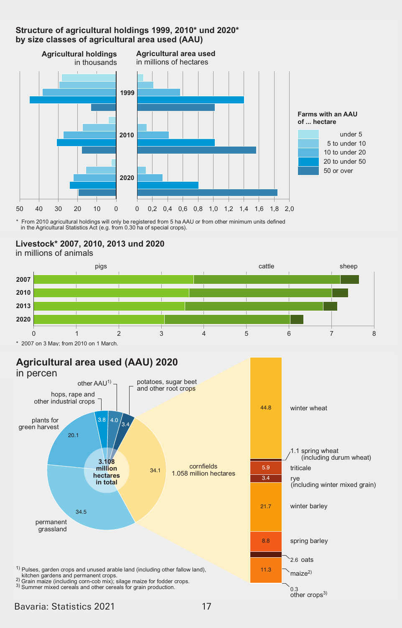#### Structure of agricultural holdings 1999, 2010<sup>\*</sup> und 2020<sup>\*</sup> **EXECUTE:** Singh continuous continuous continuous continuous by size classes of agricultural area used (AAU)



\* From 2010 agricultural holdings will only be registered from 5 ha AAU or from other minimum units defined<br>in the Agricultural Statistics Act (e.g. from 0.30 ha of special crops).





 200 on 3 0ay; from 2010 on 1 0arch. 2007 on 3 May; from 2010 on 1 March.

# Agricultural area used (AAU) 2020

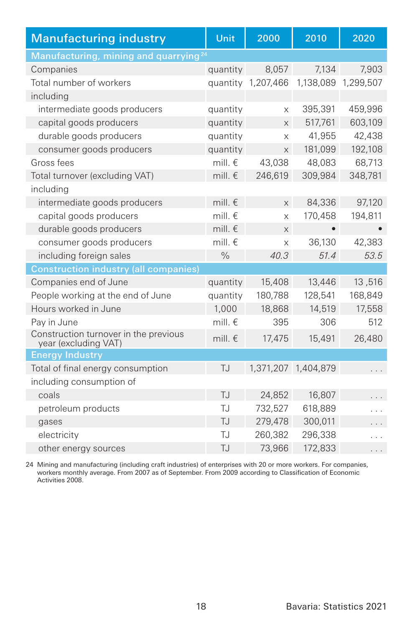| <b>Manufacturing industry</b>                                 | Unit             | 2000               | 2010                | 2020                 |
|---------------------------------------------------------------|------------------|--------------------|---------------------|----------------------|
| Manufacturing, mining and quarrying <sup>24</sup>             |                  |                    |                     |                      |
| Companies                                                     | quantity         | 8,057              | 7.134               | 7.903                |
| Total number of workers                                       |                  | quantity 1,207,466 |                     | 1,138,089 1,299,507  |
| including                                                     |                  |                    |                     |                      |
| intermediate goods producers                                  | quantity         | X                  | 395,391             | 459,996              |
| capital goods producers                                       | quantity         | X                  | 517,761             | 603,109              |
| durable goods producers                                       | quantity         | X                  | 41.955              | 42.438               |
| consumer goods producers                                      | quantity         | X                  | 181,099             | 192,108              |
| Gross fees                                                    | mill. $\in$      | 43.038             | 48.083              | 68.713               |
| Total turnover (excluding VAT)                                | mill. $\epsilon$ | 246,619            | 309.984             | 348.781              |
| including                                                     |                  |                    |                     |                      |
| intermediate goods producers                                  | mill. $\epsilon$ | $\times$           | 84,336              | 97,120               |
| capital goods producers                                       | mill. $\epsilon$ | $\times$           | 170,458             | 194,811              |
| durable goods producers                                       | mill. $\epsilon$ | X                  | $\bullet$           |                      |
| consumer goods producers                                      | mill. $\epsilon$ | X                  | 36,130              | 42,383               |
| including foreign sales                                       | $\frac{0}{0}$    | 40.3               | 51.4                | 53.5                 |
| <b>Construction industry (all companies)</b>                  |                  |                    |                     |                      |
| Companies end of June                                         | quantity         | 15,408             | 13,446              | 13,516               |
| People working at the end of June                             | quantity         | 180,788            | 128,541             | 168,849              |
| Hours worked in June                                          | 1,000            | 18,868             | 14,519              | 17,558               |
| Pay in June                                                   | mill. $\epsilon$ | 395                | 306                 | 512                  |
| Construction turnover in the previous<br>year (excluding VAT) | mill. $\epsilon$ | 17,475             | 15,491              | 26,480               |
| <b>Energy Industry</b>                                        |                  |                    |                     |                      |
| Total of final energy consumption                             | <b>TJ</b>        |                    | 1,371,207 1,404,879 |                      |
| including consumption of                                      |                  |                    |                     |                      |
| coals                                                         | T.J              | 24.852             | 16,807              |                      |
| petroleum products                                            | TJ               | 732,527            | 618,889             |                      |
| gases                                                         | TJ.              | 279,478            | 300,011             |                      |
| electricity                                                   | TJ.              | 260,382            | 296,338             | $\ddot{\phantom{0}}$ |
| other energy sources                                          | T.J              | 73,966             | 172,833             | .                    |

24 Mining and manufacturing (including craft industries) of enterprises with 20 or more workers. For companies, workers monthly average. From 2007 as of September. From 2009 according to Classification of Economic Activities 2008.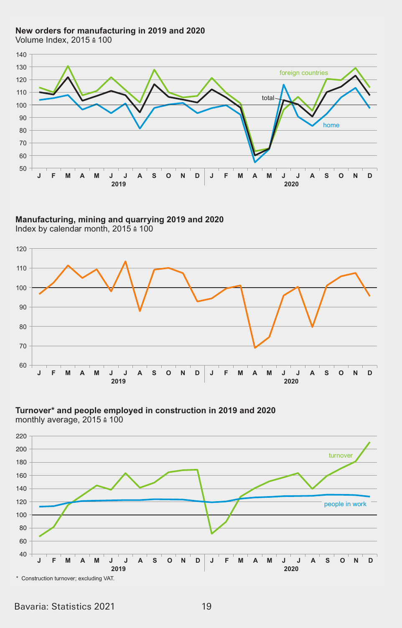#### New orders for manufacturing in 2019 and 2020

Volume Index, 2015 ≙ 100



Manufacturing, mining and quarrying 2019 and 2020 Index by calendar month,  $2015 \triangleq 100$ 





Turnover\* and people employed in construction in 2019 and 2020 monthly average, 2015 ≙ 100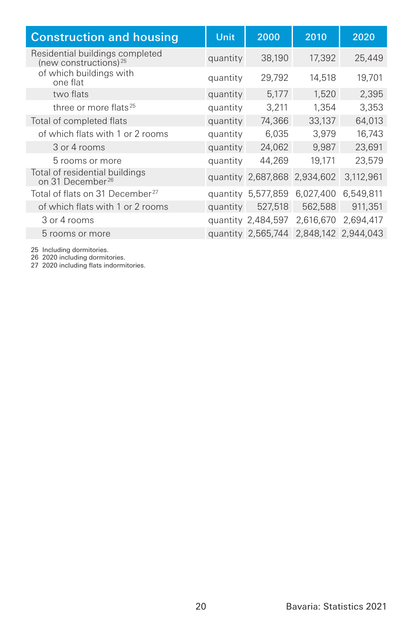| <b>Construction and housing</b>                                      | Unit     | 2000               | 2010                         | 2020      |
|----------------------------------------------------------------------|----------|--------------------|------------------------------|-----------|
| Residential buildings completed<br>(new constructions) <sup>25</sup> | quantity | 38,190             | 17.392                       | 25,449    |
| of which buildings with<br>one flat                                  | quantity | 29,792             | 14,518                       | 19,701    |
| two flats                                                            | quantity | 5,177              | 1,520                        | 2,395     |
| three or more flats <sup>25</sup>                                    | quantity | 3,211              | 1.354                        | 3.353     |
| Total of completed flats                                             | quantity | 74,366             | 33,137                       | 64,013    |
| of which flats with 1 or 2 rooms                                     | quantity | 6,035              | 3.979                        | 16,743    |
| 3 or 4 rooms                                                         | quantity | 24,062             | 9,987                        | 23,691    |
| 5 rooms or more                                                      | quantity | 44,269             | 19,171                       | 23,579    |
| Total of residential buildings<br>on 31 December <sup>26</sup>       |          |                    | quantity 2,687,868 2,934,602 | 3,112,961 |
| Total of flats on 31 December <sup>27</sup>                          |          | quantity 5,577,859 | 6,027,400                    | 6.549.811 |
| of which flats with 1 or 2 rooms                                     | quantity | 527,518            | 562,588                      | 911.351   |
| 3 or 4 rooms                                                         |          | quantity 2,484,597 | 2,616,670                    | 2.694.417 |
| 5 rooms or more                                                      |          | quantity 2,565,744 | 2,848,142 2,944,043          |           |

25 Including dormitories. 26 2020 including dormitories. 27 2020 including flats indormitories.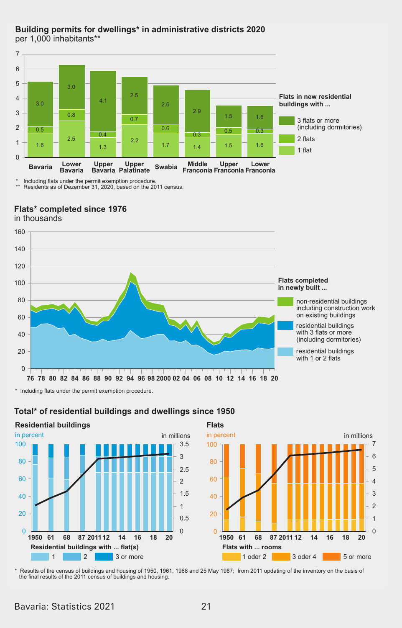#### Building permits for dwellings\* in administrative districts 2020 per 1,000 inhabitants\*\*



Including flats under the permit exemption procedure Residents as of Dezember 31, 2020, based on the 2011 census

Flats\* completed since 1976



Total\* of residential buildings and dwellings since 1950

**Residential buildings Flats** in percent in millions in percent 100  $3.5$ 100  $\overline{3}$  $80$  $80$  $25$ 60 60  $\overline{2}$  $1.5$ 40 40  $\overline{1}$  $20$  $20$  $0<sub>5</sub>$  $\sim$  $\Omega$ 1950 61 68 87 2011 12  $14$ 16 18 20 1950 61 68 87 2011 12  $14$ Residential buildings with ... flat(s) Flats with ... rooms  $\overline{1}$  $\vert$  2  $\overline{\phantom{a}}$  3 or more  $1$  oder  $2$  $3$  oder 4

\* Results of the census of buildings and housing of 1950, 1961, 1968 and 25 May 1987; from 2011 updating of the inventory on the basis of the final results of the 2011 census of buildings and housing.

in millions

 $\overline{7}$ 

6

 $\overline{a}$ 

 $\overline{A}$ 

 $\overline{3}$ 

 $\overline{c}$ 

 $\overline{1}$ 

 $\Omega$ 

 $5 \text{ or more}$ 

16 18 20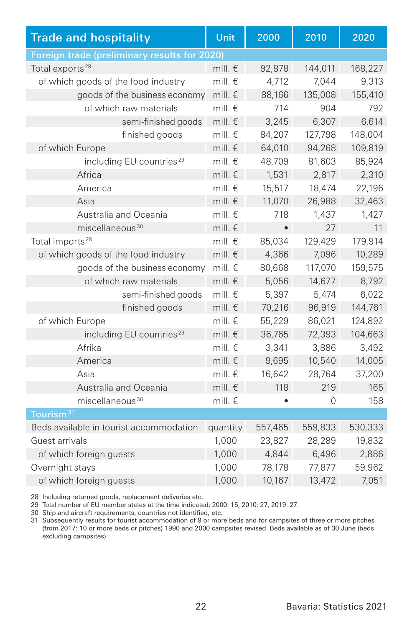| <b>Trade and hospitality</b>                 | Unit             | 2000      | 2010     | 2020    |  |
|----------------------------------------------|------------------|-----------|----------|---------|--|
| Foreign trade (preliminary results for 2020) |                  |           |          |         |  |
| Total exports <sup>28</sup>                  | mill. $\epsilon$ | 92,878    | 144,011  | 168,227 |  |
| of which goods of the food industry          | mill. $\epsilon$ | 4.712     | 7.044    | 9,313   |  |
| goods of the business economy                | mill. $\epsilon$ | 88,166    | 135,008  | 155,410 |  |
| of which raw materials                       | mill. $\epsilon$ | 714       | 904      | 792     |  |
| semi-finished goods                          | mill. $\in$      | 3.245     | 6.307    | 6,614   |  |
| finished goods                               | mill. $\epsilon$ | 84.207    | 127.798  | 148,004 |  |
| of which Europe                              | mill. $\epsilon$ | 64,010    | 94,268   | 109,819 |  |
| including EU countries <sup>29</sup>         | mill. $\epsilon$ | 48,709    | 81,603   | 85,924  |  |
| Africa                                       | mill. $\epsilon$ | 1.531     | 2.817    | 2,310   |  |
| America                                      | mill. $\epsilon$ | 15,517    | 18,474   | 22,196  |  |
| Asia                                         | mill. $\epsilon$ | 11,070    | 26,988   | 32,463  |  |
| Australia and Oceania                        | mill. $\epsilon$ | 718       | 1,437    | 1,427   |  |
| miscellaneous <sup>30</sup>                  | mill. $\epsilon$ | $\bullet$ | 27       | 11      |  |
| Total imports <sup>28</sup>                  | mill. $\in$      | 85,034    | 129,429  | 179,914 |  |
| of which goods of the food industry          | mill. $\epsilon$ | 4,366     | 7.096    | 10,289  |  |
| goods of the business economy                | mill. $\notin$   | 80,668    | 117,070  | 159,575 |  |
| of which raw materials                       | mill. $\epsilon$ | 5,056     | 14,677   | 8,792   |  |
| semi-finished goods                          | mill. $\in$      | 5.397     | 5.474    | 6.022   |  |
| finished goods                               | mill. $\epsilon$ | 70,216    | 96,919   | 144,761 |  |
| of which Europe                              | mill. $\epsilon$ | 55,229    | 86,021   | 124,892 |  |
| including EU countries <sup>29</sup>         | mill. $\epsilon$ | 36,765    | 72,393   | 104,663 |  |
| Afrika                                       | mill. $\notin$   | 3,341     | 3.886    | 3,492   |  |
| America                                      | mill. $\epsilon$ | 9,695     | 10,540   | 14,005  |  |
| Asia                                         | mill. $\epsilon$ | 16,642    | 28,764   | 37,200  |  |
| Australia and Oceania                        | mill. $\epsilon$ | 118       | 219      | 165     |  |
| miscellaneous <sup>30</sup>                  | mill. $\in$      |           | $\Omega$ | 158     |  |
| Tourism <sup>31</sup>                        |                  |           |          |         |  |
| Beds available in tourist accommodation      | quantity         | 557,465   | 559,833  | 530,333 |  |
| Guest arrivals                               | 1,000            | 23.827    | 28,289   | 19,832  |  |
| of which foreign guests                      | 1,000            | 4,844     | 6,496    | 2,886   |  |
| Overnight stays                              | 1,000            | 78.178    | 77.877   | 59,962  |  |
| of which foreign guests                      | 1,000            | 10,167    | 13,472   | 7,051   |  |

28 Including returned goods, replacement deliveries etc.

29 Total number of EU member states at the time indicated: 2000: 15, 2010: 27, 2019: 27.

30 Ship and aircraft requirements, countries not identified, etc.

31 Subsequently results for tourist accommodation of 9 or more beds and for campsites of three or more pitches (from 2017: 10 or more beds or pitches) 1990 and 2000 campsites revised. Beds available as of 30 June (beds excluding campsites).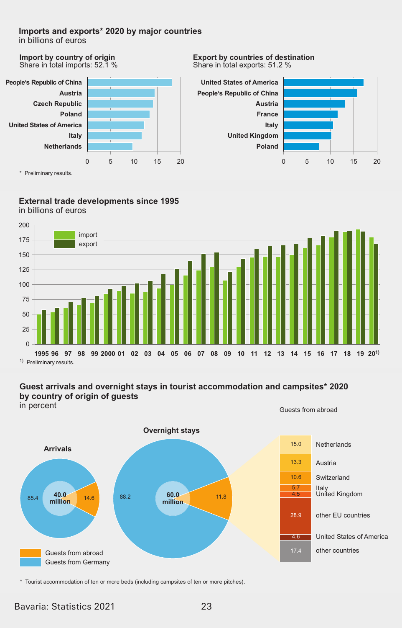#### Imports and exports\* 2020 by major countries

in billions of euros

Import by country of origin Share in total imports: 52.1 %



**Export by countries of destination** Share in total exports: 51.2 %



#### External trade developments since 1995 in billions of euros



<sup>1)</sup> Preliminary results

#### Guest arrivals and overnight stays in tourist accommodation and campsites\* 2020 by country of origin of guests

in percent

Guests from abroad



\* Tourist accommodation of ten or more beds (including campsites of ten or more pitches).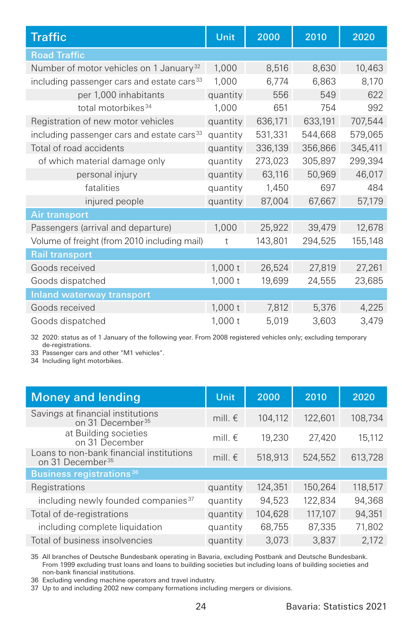| <b>Traffic</b>                                         | Unit     | 2000    | 2010    | 2020    |
|--------------------------------------------------------|----------|---------|---------|---------|
| <b>Road Traffic</b>                                    |          |         |         |         |
| Number of motor vehicles on 1 January <sup>32</sup>    | 1.000    | 8,516   | 8,630   | 10,463  |
| including passenger cars and estate cars <sup>33</sup> | 1,000    | 6,774   | 6,863   | 8,170   |
| per 1,000 inhabitants                                  | quantity | 556     | 549     | 622     |
| total motorbikes <sup>34</sup>                         | 1,000    | 651     | 754     | 992     |
| Registration of new motor vehicles                     | quantity | 636,171 | 633,191 | 707,544 |
| including passenger cars and estate cars <sup>33</sup> | quantity | 531,331 | 544,668 | 579,065 |
| Total of road accidents                                | quantity | 336,139 | 356,866 | 345,411 |
| of which material damage only                          | quantity | 273,023 | 305,897 | 299,394 |
| personal injury                                        | quantity | 63,116  | 50,969  | 46,017  |
| fatalities                                             | quantity | 1,450   | 697     | 484     |
| injured people                                         | quantity | 87,004  | 67,667  | 57,179  |
| <b>Air transport</b>                                   |          |         |         |         |
| Passengers (arrival and departure)                     | 1,000    | 25,922  | 39,479  | 12,678  |
| Volume of freight (from 2010 including mail)           | t        | 143,801 | 294,525 | 155,148 |
| <b>Rail transport</b>                                  |          |         |         |         |
| Goods received                                         | 1,000t   | 26,524  | 27,819  | 27,261  |
| Goods dispatched                                       | 1,000t   | 19,699  | 24,555  | 23,685  |
| Inland waterway transport                              |          |         |         |         |
| Goods received                                         | 1,000t   | 7,812   | 5,376   | 4,225   |
| Goods dispatched                                       | 1,000t   | 5,019   | 3,603   | 3,479   |

32 2020: status as of 1 January of the following year. From 2008 registered vehicles only; excluding temporary de-registrations.

33 Passenger cars and other "M1 vehicles".

34 Including light motorbikes.

| <b>Money and lending</b>                                                 | <b>Unit</b>      | 2000    | 2010    | 2020    |
|--------------------------------------------------------------------------|------------------|---------|---------|---------|
| Savings at financial institutions<br>on 31 December <sup>35</sup>        | mill. $\epsilon$ | 104.112 | 122,601 | 108.734 |
| at Building societies<br>on 31 December                                  | mill. $\epsilon$ | 19,230  | 27.420  | 15.112  |
| Loans to non-bank financial institutions<br>on 31 December <sup>35</sup> | mill. $\epsilon$ | 518,913 | 524,552 | 613,728 |
| <b>Business registrations</b> 36                                         |                  |         |         |         |
| Registrations                                                            | quantity         | 124,351 | 150.264 | 118,517 |
| including newly founded companies <sup>37</sup>                          | quantity         | 94,523  | 122.834 | 94.368  |
| Total of de-registrations                                                | quantity         | 104.628 | 117,107 | 94,351  |
| including complete liquidation                                           | quantity         | 68,755  | 87,335  | 71.802  |
| Total of business insolvencies                                           | quantity         | 3.073   | 3.837   | 2.172   |

35 All branches of Deutsche Bundesbank operating in Bavaria, excluding Postbank and Deutsche Bundesbank. From 1999 excluding trust loans and loans to building societies but including loans of building societies and non-bank financial institutions.

36 Excluding vending machine operators and travel industry.

37 Up to and including 2002 new company formations including mergers or divisions.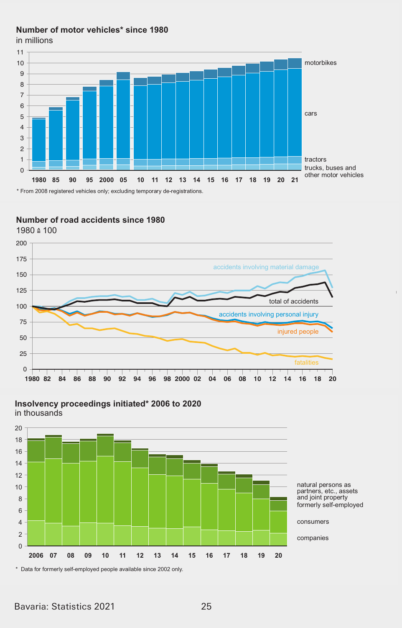# Number of motor vehicles\* since 1980

in millions in millions



#### **Number of road accidents since 1980**





Insolvency proceedings initiated\* 2006 to 2020

Bavaria: Statistics 2021 25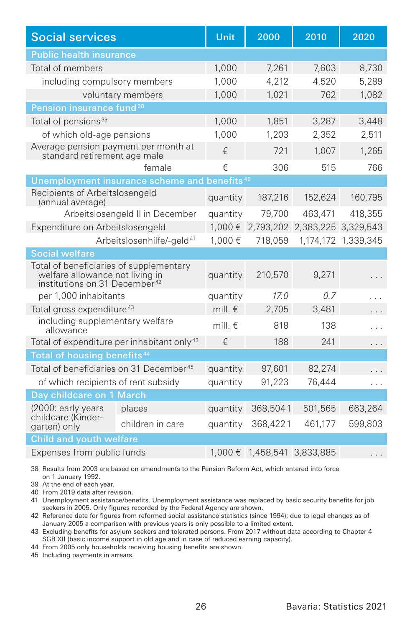| <b>Social services</b>                                                                                                  |                                                          | Unit             | 2000                        | 2010                | 2020                |  |  |
|-------------------------------------------------------------------------------------------------------------------------|----------------------------------------------------------|------------------|-----------------------------|---------------------|---------------------|--|--|
| <b>Public health insurance</b>                                                                                          |                                                          |                  |                             |                     |                     |  |  |
| Total of members                                                                                                        |                                                          | 1.000            | 7.261                       | 7.603               | 8.730               |  |  |
| including compulsory members                                                                                            |                                                          | 1.000            | 4,212                       | 4.520               | 5,289               |  |  |
|                                                                                                                         | voluntary members                                        | 1,000            | 1,021                       | 762                 | 1.082               |  |  |
| Pension insurance fund <sup>38</sup>                                                                                    |                                                          |                  |                             |                     |                     |  |  |
| Total of pensions <sup>39</sup>                                                                                         |                                                          | 1,000            | 1,851                       | 3,287               | 3,448               |  |  |
| of which old-age pensions                                                                                               |                                                          | 1.000            | 1.203                       | 2.352               | 2.511               |  |  |
| Average pension payment per month at<br>standard retirement age male                                                    |                                                          | €                | 721                         | 1,007               | 1,265               |  |  |
|                                                                                                                         | female                                                   | €                | 306                         | 515                 | 766                 |  |  |
|                                                                                                                         | Unemployment insurance scheme and benefits <sup>40</sup> |                  |                             |                     |                     |  |  |
| Recipients of Arbeitslosengeld<br>(annual average)                                                                      |                                                          | quantity         | 187,216                     | 152,624             | 160,795             |  |  |
|                                                                                                                         | Arbeitslosengeld II in December                          | quantity         | 79,700                      | 463,471             | 418.355             |  |  |
| Expenditure on Arbeitslosengeld                                                                                         |                                                          | 1.000€           | 2,793,202                   | 2,383,225 3,329,543 |                     |  |  |
| Arbeitslosenhilfe/-geld <sup>41</sup>                                                                                   |                                                          | 1.000€           | 718,059                     |                     | 1,174,172 1,339,345 |  |  |
| <b>Social welfare</b>                                                                                                   |                                                          |                  |                             |                     |                     |  |  |
| Total of beneficiaries of supplementary<br>welfare allowance not living in<br>institutions on 31 December <sup>42</sup> |                                                          | quantity         | 210,570                     | 9.271               |                     |  |  |
| per 1.000 inhabitants                                                                                                   |                                                          | quantity         | 17.0                        | 0.7                 |                     |  |  |
| Total gross expenditure <sup>43</sup>                                                                                   |                                                          | mill. $\notin$   | 2,705                       | 3.481               |                     |  |  |
| including supplementary welfare<br>allowance                                                                            |                                                          | mill. $\epsilon$ | 818                         | 138                 |                     |  |  |
| Total of expenditure per inhabitant only <sup>43</sup>                                                                  |                                                          | €                | 188                         | 241                 | .                   |  |  |
| Total of housing benefits <sup>44</sup>                                                                                 |                                                          |                  |                             |                     |                     |  |  |
| Total of beneficiaries on 31 December <sup>45</sup>                                                                     |                                                          | quantity         | 97.601                      | 82.274              |                     |  |  |
| of which recipients of rent subsidy                                                                                     |                                                          | quantity         | 91,223                      | 76.444              | .                   |  |  |
| Day childcare on 1 March                                                                                                |                                                          |                  |                             |                     |                     |  |  |
| (2000: early years                                                                                                      | places                                                   | quantity         | 368,5041                    | 501,565             | 663,264             |  |  |
| childcare (Kinder-<br>garten) only                                                                                      | children in care                                         | quantity         | 368,4221                    | 461.177             | 599,803             |  |  |
| <b>Child and youth welfare</b>                                                                                          |                                                          |                  |                             |                     |                     |  |  |
| Expenses from public funds                                                                                              |                                                          |                  | 1,000 € 1,458,541 3,833,885 |                     |                     |  |  |

38 Results from 2003 are based on amendments to the Pension Reform Act, which entered into force on 1 January 1992.

39 At the end of each year.

40 From 2019 data after revision.

41 Unemployment assistance/benefits. Unemployment assistance was replaced by basic security benefits for job seekers in 2005. Only figures recorded by the Federal Agency are shown.

42 Reference date for figures from reformed social assistance statistics (since 1994); due to legal changes as of January 2005 a comparison with previous years is only possible to a limited extent.

43 Excluding benefits for asylum seekers and tolerated persons. From 2017 without data according to Chapter 4 SGB XII (basic income support in old age and in case of reduced earning capacity).

44 From 2005 only households receiving housing benefits are shown.

45 Including payments in arrears.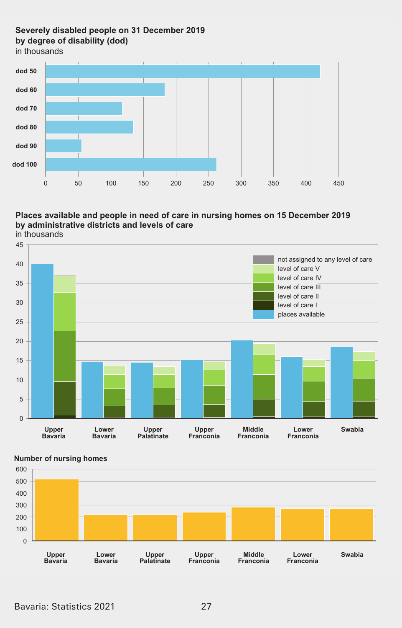# **Severely disabled people on 31 December 2019 E\ degree oI disaEilit\ (dod) E\ degree oI disaEilit\ (dod)**

in thousands in thousands



#### Places available and people in need of care in nursing homes on 15 December 2019<br>. **by administrative districts and levels of care**





#### **Number of nursing homes**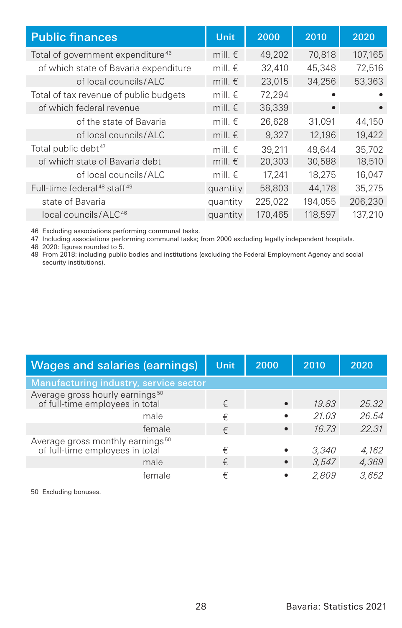| <b>Public finances</b>                              | Unit             | 2000    | 2010    | 2020      |
|-----------------------------------------------------|------------------|---------|---------|-----------|
| Total of government expenditure <sup>46</sup>       | mill. $\epsilon$ | 49,202  | 70.818  | 107,165   |
| of which state of Bavaria expenditure               | mill. $\epsilon$ | 32,410  | 45,348  | 72.516    |
| of local councils/ALC                               | mill. $\epsilon$ | 23,015  | 34,256  | 53,363    |
| Total of tax revenue of public budgets              | mill. $\epsilon$ | 72,294  |         |           |
| of which federal revenue                            | mill. $\epsilon$ | 36,339  | ٠       | $\bullet$ |
| of the state of Bavaria                             | mill. $\epsilon$ | 26,628  | 31,091  | 44,150    |
| of local councils/ALC                               | mill. $\epsilon$ | 9.327   | 12,196  | 19,422    |
| Total public debt <sup>47</sup>                     | mill. $\epsilon$ | 39.211  | 49.644  | 35.702    |
| of which state of Bavaria debt                      | mill. $\epsilon$ | 20,303  | 30,588  | 18,510    |
| of local councils/ALC                               | mill. $\epsilon$ | 17.241  | 18,275  | 16.047    |
| Full-time federal <sup>48</sup> staff <sup>49</sup> | quantity         | 58,803  | 44.178  | 35.275    |
| state of Bavaria                                    | quantity         | 225,022 | 194.055 | 206.230   |
| local councils/ALC <sup>46</sup>                    | quantity         | 170,465 | 118,597 | 137,210   |

46 Excluding associations performing communal tasks.

47 Including associations performing communal tasks; from 2000 excluding legally independent hospitals.

48 2020: figures rounded to 5.

49 From 2018: including public bodies and institutions (excluding the Federal Employment Agency and social security institutions).

| <b>Wages and salaries (earnings)</b>                                            | Unit, | 2000      | 2010  | 2020  |
|---------------------------------------------------------------------------------|-------|-----------|-------|-------|
| Manufacturing industry, service sector                                          |       |           |       |       |
| Average gross hourly earnings <sup>50</sup><br>of full-time employees in total  | €     | $\bullet$ | 19.83 | 25.32 |
| male                                                                            | €     |           | 21.03 | 26.54 |
| female                                                                          | €     | $\bullet$ | 16.73 | 22.31 |
| Average gross monthly earnings <sup>50</sup><br>of full-time employees in total | €     |           | 3.340 | 4,162 |
| male                                                                            | €     |           | 3.547 | 4,369 |
| female                                                                          | €     |           | 2.809 | 3.652 |

50 Excluding bonuses.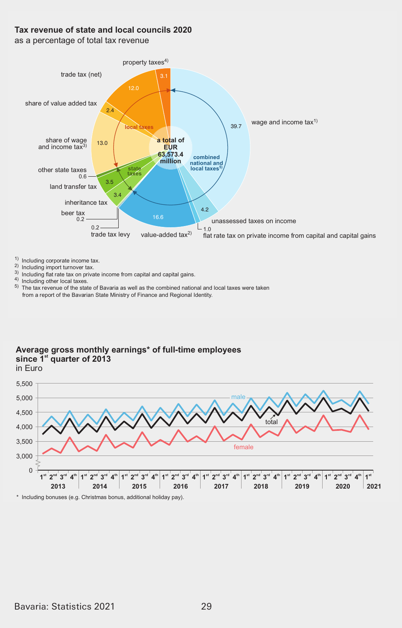#### Tax revenue of state and local councils 2020

as a percentage of total tax revenue



- $1)$  Including corporate income tax.
- 2) Including import turnover tax.
- 3) Including flat rate tax on private income from capital and capital gains.<br>4) Including flat rate tax on private income from capital and capital gains.
- 

 $5)$  The tax revenue of the state of Bavaria as well as the combined national and local taxes were taken from a report of the Bavarian State Ministry of Finance and Regional Identity.

# Average gross monthly earnings<sup>\*</sup> of full-time employees since 1<sup>st</sup> quarter of 2013  $in$  Furo

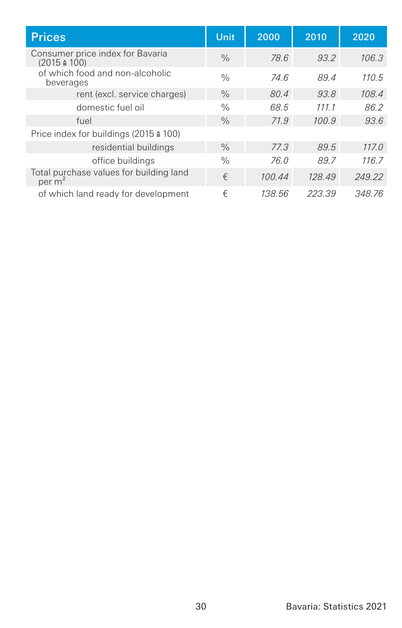| <b>Prices</b>                                                 | Unit.         | 2000   | 2010   | 2020   |
|---------------------------------------------------------------|---------------|--------|--------|--------|
| Consumer price index for Bavaria<br>$(2015 \triangleq 100)$   | $\frac{0}{0}$ | 78.6   | 93.2   | 106.3  |
| of which food and non-alcoholic<br>beverages                  | $\frac{0}{0}$ | 74.6   | 89.4   | 110.5  |
| rent (excl. service charges)                                  | $\%$          | 80.4   | 93.8   | 108.4  |
| domestic fuel oil                                             | $\%$          | 68.5   | 111.1  | 86.2   |
| fuel                                                          | $\frac{0}{0}$ | 71.9   | 100.9  | 93.6   |
| Price index for buildings (2015 ≙ 100)                        |               |        |        |        |
| residential buildings                                         | $\frac{0}{0}$ | 77.3   | 89.5   | 117.0  |
| office buildings                                              | $\frac{0}{0}$ | 76.0   | 89.7   | 116.7  |
| Total purchase values for building land<br>per m <sup>2</sup> | €             | 100.44 | 128.49 | 249.22 |
| of which land ready for development                           | €             | 138.56 | 223.39 | 348.76 |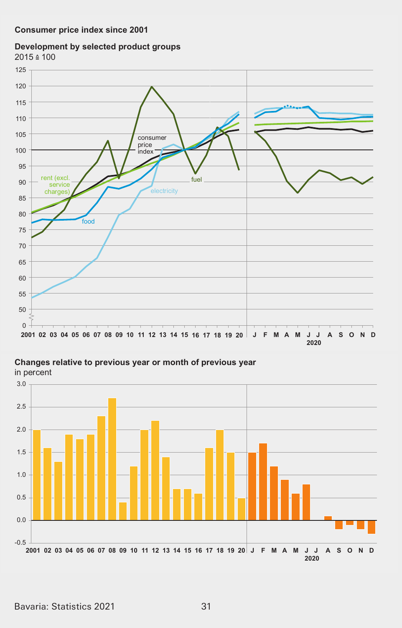#### Development by selected product groups  $2015 \div 100$



Changes relative to previous year or month of previous year

in percent

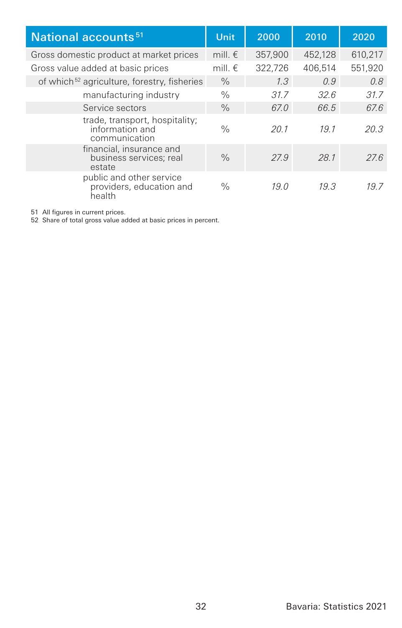| National accounts <sup>51</sup>                                    | Unit             | 2000    | 2010    | 2020    |
|--------------------------------------------------------------------|------------------|---------|---------|---------|
| Gross domestic product at market prices                            | mill. $\epsilon$ | 357,900 | 452,128 | 610.217 |
| Gross value added at basic prices                                  | mill. $\epsilon$ | 322.726 | 406.514 | 551,920 |
| of which <sup>52</sup> agriculture, forestry, fisheries            | $\%$             | 1.3     | 0.9     | 0.8     |
| manufacturing industry                                             | $\%$             | 31.7    | 32.6    | 31.7    |
| Service sectors                                                    | $\%$             | 67.0    | 66.5    | 67.6    |
| trade, transport, hospitality;<br>information and<br>communication | $\%$             | 20.1    | 191     | 20.3    |
| financial, insurance and<br>business services: real<br>estate      | $\%$             | 27.9    | 28.1    | 27.6    |
| public and other service<br>providers, education and<br>health     | $\frac{0}{0}$    | 19.0    | 19.3    | 197     |

51 All figures in current prices. 52 Share of total gross value added at basic prices in percent.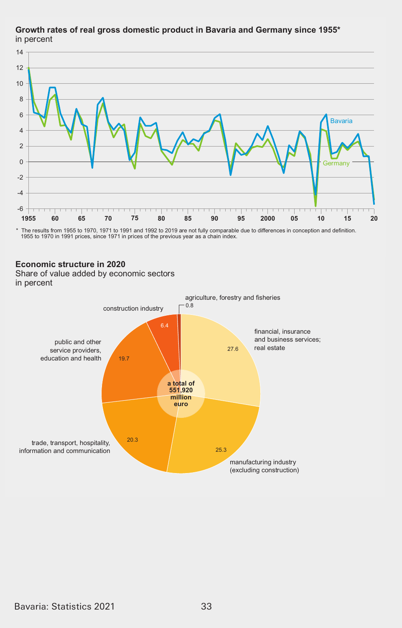

# Growth rates of real gross domestic product in Bavaria and Germany since 1955\* in percent

\* The results from 1955 to 1970, 1971 to 1991 and 1992 to 2019 are not fully comparable due to differences in conception and definition. 1955 to 1970 in 1991 prices, since 1971 in prices of the previous year as a chain index.

#### **(conomic structure in 2020**

**change of value added by even**<br>in percent Share of value added by economic sectors

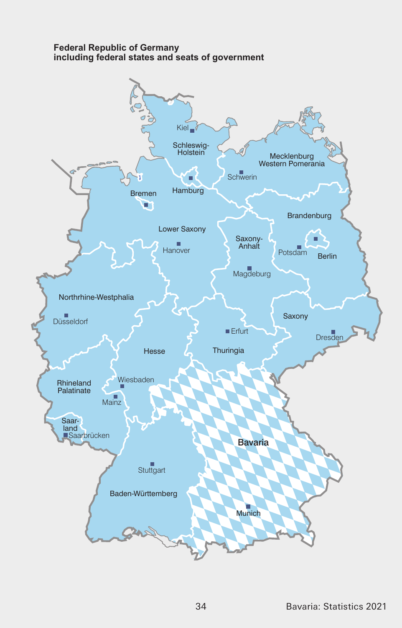#### **Federal Republic of Germany including federal states and seats of government**